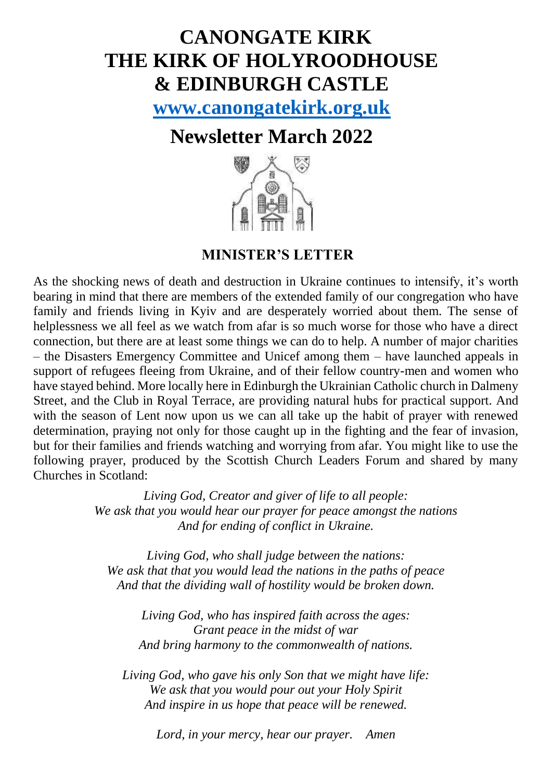# **CANONGATE KIRK THE KIRK OF HOLYROODHOUSE & EDINBURGH CASTLE**

**[www.canongatekirk.org.uk](http://www.canongatekirk.org.uk/)**

# **Newsletter March 2022**



**MINISTER'S LETTER**

As the shocking news of death and destruction in Ukraine continues to intensify, it's worth bearing in mind that there are members of the extended family of our congregation who have family and friends living in Kyiv and are desperately worried about them. The sense of helplessness we all feel as we watch from afar is so much worse for those who have a direct connection, but there are at least some things we can do to help. A number of major charities – the Disasters Emergency Committee and Unicef among them – have launched appeals in support of refugees fleeing from Ukraine, and of their fellow country-men and women who have stayed behind. More locally here in Edinburgh the Ukrainian Catholic church in Dalmeny Street, and the Club in Royal Terrace, are providing natural hubs for practical support. And with the season of Lent now upon us we can all take up the habit of prayer with renewed determination, praying not only for those caught up in the fighting and the fear of invasion, but for their families and friends watching and worrying from afar. You might like to use the following prayer, produced by the Scottish Church Leaders Forum and shared by many Churches in Scotland:

> *Living God, Creator and giver of life to all people: We ask that you would hear our prayer for peace amongst the nations And for ending of conflict in Ukraine.*

*Living God, who shall judge between the nations: We ask that that you would lead the nations in the paths of peace And that the dividing wall of hostility would be broken down.*

*Living God, who has inspired faith across the ages: Grant peace in the midst of war And bring harmony to the commonwealth of nations.*

*Living God, who gave his only Son that we might have life: We ask that you would pour out your Holy Spirit And inspire in us hope that peace will be renewed.*

*Lord, in your mercy, hear our prayer. Amen*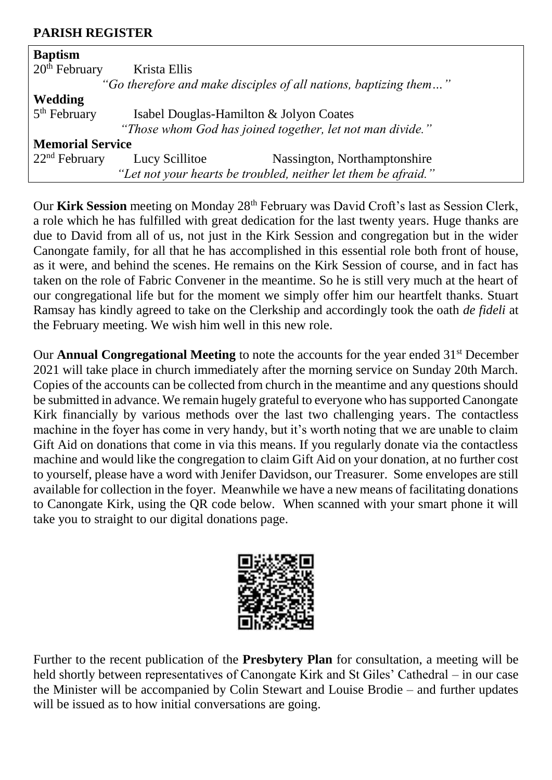#### **PARISH REGISTER**

| <b>Baptism</b>                                                   |                                                           |                              |  |
|------------------------------------------------------------------|-----------------------------------------------------------|------------------------------|--|
| $20th$ February                                                  | Krista Ellis                                              |                              |  |
| "Go therefore and make disciples of all nations, baptizing them" |                                                           |                              |  |
| <b>Wedding</b>                                                   |                                                           |                              |  |
| $5th$ February                                                   | Isabel Douglas-Hamilton & Jolyon Coates                   |                              |  |
|                                                                  | "Those whom God has joined together, let not man divide." |                              |  |
| <b>Memorial Service</b>                                          |                                                           |                              |  |
| $22nd$ February                                                  | Lucy Scillitoe                                            | Nassington, Northamptonshire |  |
| "Let not your hearts be troubled, neither let them be afraid."   |                                                           |                              |  |

Our Kirk Session meeting on Monday 28<sup>th</sup> February was David Croft's last as Session Clerk, a role which he has fulfilled with great dedication for the last twenty years. Huge thanks are due to David from all of us, not just in the Kirk Session and congregation but in the wider Canongate family, for all that he has accomplished in this essential role both front of house, as it were, and behind the scenes. He remains on the Kirk Session of course, and in fact has taken on the role of Fabric Convener in the meantime. So he is still very much at the heart of our congregational life but for the moment we simply offer him our heartfelt thanks. Stuart Ramsay has kindly agreed to take on the Clerkship and accordingly took the oath *de fideli* at the February meeting. We wish him well in this new role.

Our **Annual Congregational Meeting** to note the accounts for the year ended 31<sup>st</sup> December 2021 will take place in church immediately after the morning service on Sunday 20th March. Copies of the accounts can be collected from church in the meantime and any questions should be submitted in advance. We remain hugely grateful to everyone who has supported Canongate Kirk financially by various methods over the last two challenging years. The contactless machine in the foyer has come in very handy, but it's worth noting that we are unable to claim Gift Aid on donations that come in via this means. If you regularly donate via the contactless machine and would like the congregation to claim Gift Aid on your donation, at no further cost to yourself, please have a word with Jenifer Davidson, our Treasurer. Some envelopes are still available for collection in the foyer. Meanwhile we have a new means of facilitating donations to Canongate Kirk, using the QR code below. When scanned with your smart phone it will take you to straight to our digital donations page.



Further to the recent publication of the **Presbytery Plan** for consultation, a meeting will be held shortly between representatives of Canongate Kirk and St Giles' Cathedral – in our case the Minister will be accompanied by Colin Stewart and Louise Brodie – and further updates will be issued as to how initial conversations are going.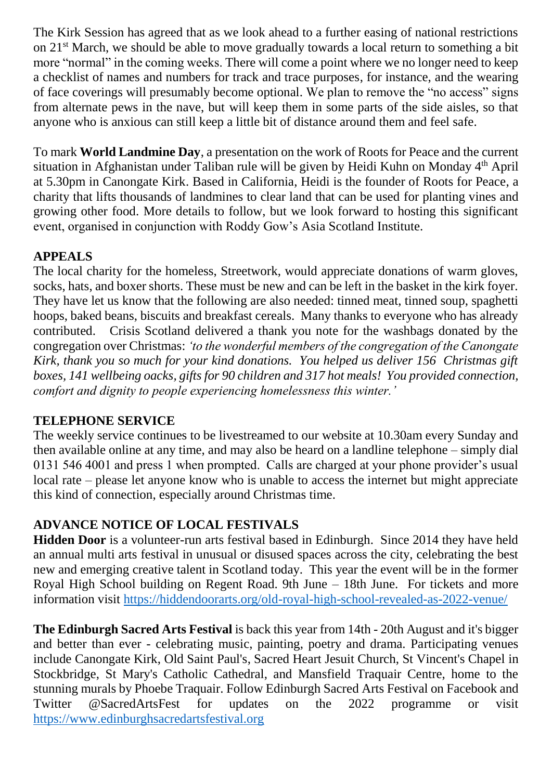The Kirk Session has agreed that as we look ahead to a further easing of national restrictions on 21<sup>st</sup> March, we should be able to move gradually towards a local return to something a bit more "normal" in the coming weeks. There will come a point where we no longer need to keep a checklist of names and numbers for track and trace purposes, for instance, and the wearing of face coverings will presumably become optional. We plan to remove the "no access" signs from alternate pews in the nave, but will keep them in some parts of the side aisles, so that anyone who is anxious can still keep a little bit of distance around them and feel safe.

To mark **World Landmine Day**, a presentation on the work of Roots for Peace and the current situation in Afghanistan under Taliban rule will be given by Heidi Kuhn on Monday 4th April at 5.30pm in Canongate Kirk. Based in California, Heidi is the founder of Roots for Peace, a charity that lifts thousands of landmines to clear land that can be used for planting vines and growing other food. More details to follow, but we look forward to hosting this significant event, organised in conjunction with Roddy Gow's Asia Scotland Institute.

# **APPEALS**

The local charity for the homeless, Streetwork, would appreciate donations of warm gloves, socks, hats, and boxer shorts. These must be new and can be left in the basket in the kirk foyer. They have let us know that the following are also needed: tinned meat, tinned soup, spaghetti hoops, baked beans, biscuits and breakfast cereals. Many thanks to everyone who has already contributed. Crisis Scotland delivered a thank you note for the washbags donated by the congregation over Christmas: *'to the wonderful members of the congregation of the Canongate Kirk, thank you so much for your kind donations. You helped us deliver 156 Christmas gift boxes, 141 wellbeing oacks, gifts for 90 children and 317 hot meals! You provided connection, comfort and dignity to people experiencing homelessness this winter.'*

#### **TELEPHONE SERVICE**

The weekly service continues to be livestreamed to our website at 10.30am every Sunday and then available online at any time, and may also be heard on a landline telephone – simply dial 0131 546 4001 and press 1 when prompted. Calls are charged at your phone provider's usual local rate – please let anyone know who is unable to access the internet but might appreciate this kind of connection, especially around Christmas time.

# **ADVANCE NOTICE OF LOCAL FESTIVALS**

**Hidden Door** is a volunteer-run arts festival based in Edinburgh. Since 2014 they have held an annual multi arts festival in unusual or disused spaces across the city, celebrating the best new and emerging creative talent in Scotland today. This year the event will be in the former Royal High School building on Regent Road. 9th June – 18th June. For tickets and more information visit<https://hiddendoorarts.org/old-royal-high-school-revealed-as-2022-venue/>

**The Edinburgh Sacred Arts Festival** is back this year from 14th - 20th August and it's bigger and better than ever - celebrating music, painting, poetry and drama. Participating venues include Canongate Kirk, Old Saint Paul's, Sacred Heart Jesuit Church, St Vincent's Chapel in Stockbridge, St Mary's Catholic Cathedral, and Mansfield Traquair Centre, home to the stunning murals by Phoebe Traquair. Follow Edinburgh Sacred Arts Festival on Facebook and Twitter @SacredArtsFest for updates on the 2022 programme or visit [https://www.edinburghsacredartsfestival.org](https://www.edinburghsacredartsfestival.org/)